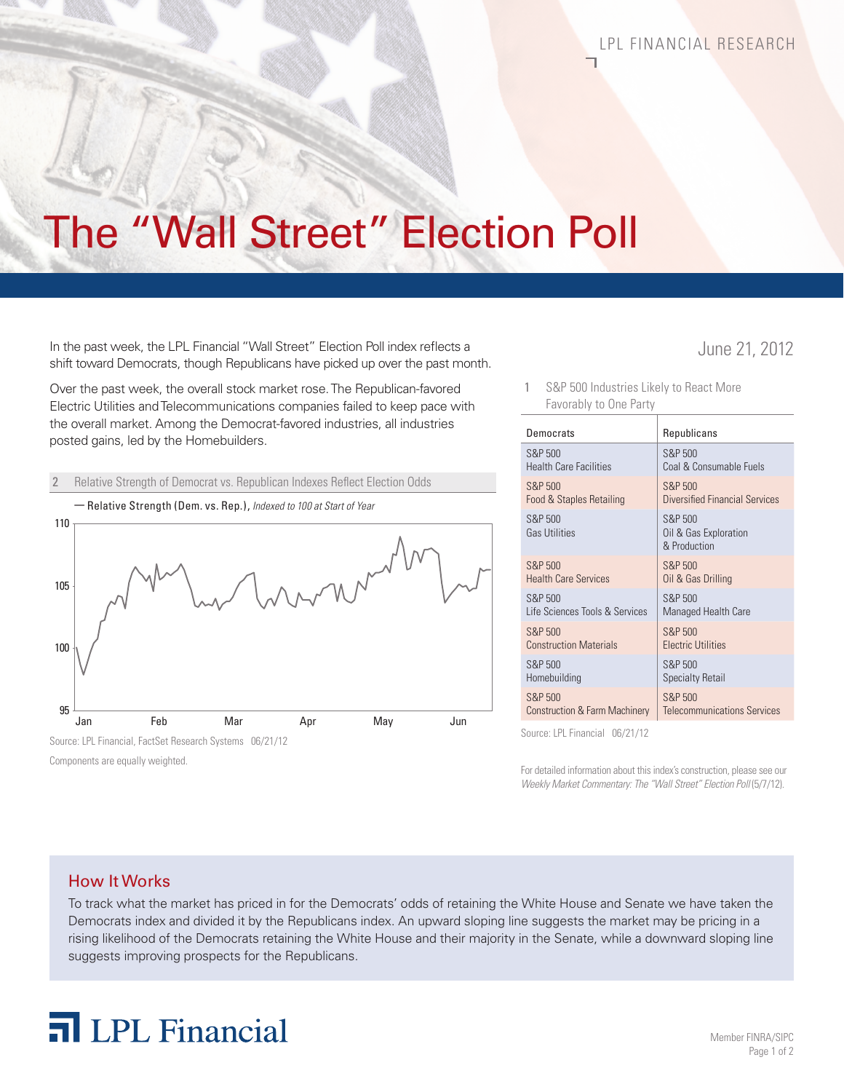# The "Wall Street" Election Poll

In the past week, the LPL Financial "Wall Street" Election Poll index reflects a June 21, 2012 shift toward Democrats, though Republicans have picked up over the past month.

Over the past week, the overall stock market rose. The Republican-favored Electric Utilities and Telecommunications companies failed to keep pace with the overall market. Among the Democrat-favored industries, all industries posted gains, led by the Homebuilders.

#### 2 Relative Strength of Democrat vs. Republican Indexes Reflect Election Odds



Components are equally weighted.

S&P 500 Industries Likely to React More Favorably to One Party

| Democrats                           | Republicans                                      |
|-------------------------------------|--------------------------------------------------|
| S&P 500                             | S&P 500                                          |
| Health Care Facilities              | Coal & Consumable Fuels                          |
| S&P 500                             | S&P 500                                          |
| <b>Food &amp; Staples Retailing</b> | Diversified Financial Services                   |
| S&P 500<br>Gas Utilities            | S&P 500<br>Oil & Gas Exploration<br>& Production |
| S&P 500                             | S&P 500                                          |
| <b>Health Care Services</b>         | Oil & Gas Drilling                               |
| S&P 500                             | S&P 500                                          |
| Life Sciences Tools & Services      | Managed Health Care                              |
| S&P 500                             | <b>S&amp;P 500</b>                               |
| <b>Construction Materials</b>       | <b>Electric Utilities</b>                        |
| S&P 500                             | S&P 500                                          |
| Homebuilding                        | <b>Specialty Retail</b>                          |
| S&P 500                             | S&P 500                                          |
| Construction & Farm Machinery       | <b>Telecommunications Services</b>               |
|                                     |                                                  |

Source: LPL Financial 06/21/12

For detailed information about this index's construction, please see our *Weekly Market Commentary: The "Wall Street" Election Poll* (5/7/12).

### How It Works

To track what the market has priced in for the Democrats' odds of retaining the White House and Senate we have taken the Democrats index and divided it by the Republicans index. An upward sloping line suggests the market may be pricing in a rising likelihood of the Democrats retaining the White House and their majority in the Senate, while a downward sloping line suggests improving prospects for the Republicans.

## **n** LPL Financial